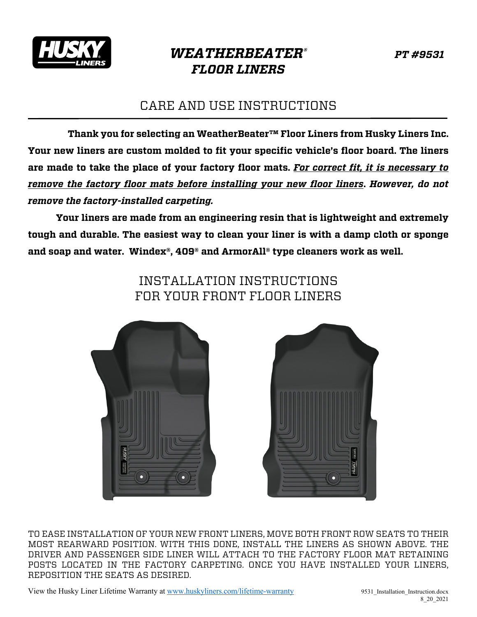

## *WEATHERBEATER® PT #9531 FLOOR LINERS*

## CARE AND USE INSTRUCTIONS

 **Thank you for selecting an WeatherBeater™ Floor Liners from Husky Liners Inc. Your new liners are custom molded to fit your specific vehicle's floor board. The liners are made to take the place of your factory floor mats.** *For correct fit, it is necessary to remove the factory floor mats before installing your new floor liners***.** *However, do not remove the factory-installed carpeting.*

**Your liners are made from an engineering resin that is lightweight and extremely tough and durable. The easiest way to clean your liner is with a damp cloth or sponge and soap and water. Windex®, 409® and ArmorAll® type cleaners work as well.** 

> INSTALLATION INSTRUCTIONS FOR YOUR FRONT FLOOR LINERS





TO EASE INSTALLATION OF YOUR NEW FRONT LINERS, MOVE BOTH FRONT ROW SEATS TO THEIR MOST REARWARD POSITION. WITH THIS DONE, INSTALL THE LINERS AS SHOWN ABOVE. THE DRIVER AND PASSENGER SIDE LINER WILL ATTACH TO THE FACTORY FLOOR MAT RETAINING POSTS LOCATED IN THE FACTORY CARPETING. ONCE YOU HAVE INSTALLED YOUR LINERS, REPOSITION THE SEATS AS DESIRED.

View the Husky Liner Lifetime Warranty at www.huskyliners.com/lifetime-warranty 9531\_Installation\_Instruction.docx